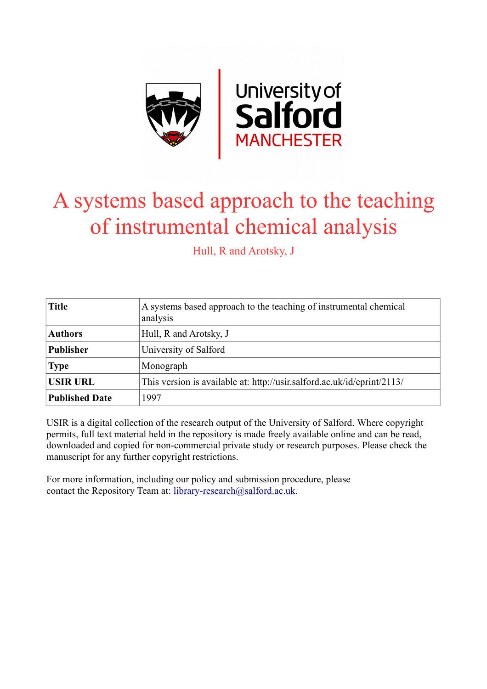

# A systems based approach to the teaching of instrumental chemical analysis

Hull, R and Arotsky, J

| <b>Title</b>          | A systems based approach to the teaching of instrumental chemical<br>analysis |
|-----------------------|-------------------------------------------------------------------------------|
| <b>Authors</b>        | Hull, R and Arotsky, J                                                        |
| <b>Publisher</b>      | University of Salford                                                         |
| <b>Type</b>           | Monograph                                                                     |
| <b>USIR URL</b>       | This version is available at: http://usir.salford.ac.uk/id/eprint/2113/       |
| <b>Published Date</b> | 1997                                                                          |

USIR is a digital collection of the research output of the University of Salford. Where copyright permits, full text material held in the repository is made freely available online and can be read, downloaded and copied for non-commercial private study or research purposes. Please check the manuscript for any further copyright restrictions.

For more information, including our policy and submission procedure, please contact the Repository Team at: [library-research@salford.ac.uk.](mailto:library-research@salford.ac.uk)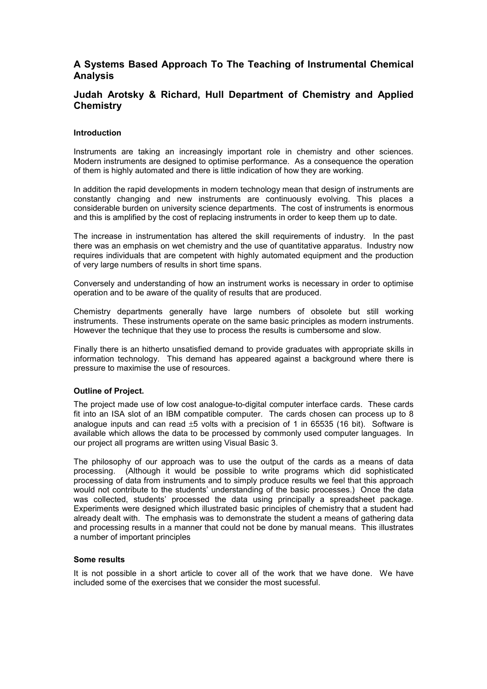# **A Systems Based Approach To The Teaching of Instrumental Chemical Analysis**

# **Judah Arotsky & Richard, Hull Department of Chemistry and Applied Chemistry**

## **Introduction**

Instruments are taking an increasingly important role in chemistry and other sciences. Modern instruments are designed to optimise performance. As a consequence the operation of them is highly automated and there is little indication of how they are working.

In addition the rapid developments in modern technology mean that design of instruments are constantly changing and new instruments are continuously evolving. This places a considerable burden on university science departments. The cost of instruments is enormous and this is amplified by the cost of replacing instruments in order to keep them up to date.

The increase in instrumentation has altered the skill requirements of industry. In the past there was an emphasis on wet chemistry and the use of quantitative apparatus. Industry now requires individuals that are competent with highly automated equipment and the production of very large numbers of results in short time spans.

Conversely and understanding of how an instrument works is necessary in order to optimise operation and to be aware of the quality of results that are produced.

Chemistry departments generally have large numbers of obsolete but still working instruments. These instruments operate on the same basic principles as modern instruments. However the technique that they use to process the results is cumbersome and slow.

Finally there is an hitherto unsatisfied demand to provide graduates with appropriate skills in information technology. This demand has appeared against a background where there is pressure to maximise the use of resources.

# **Outline of Project.**

The project made use of low cost analogue-to-digital computer interface cards. These cards fit into an ISA slot of an IBM compatible computer. The cards chosen can process up to 8 analogue inputs and can read  $\pm 5$  volts with a precision of 1 in 65535 (16 bit). Software is available which allows the data to be processed by commonly used computer languages. In our project all programs are written using Visual Basic 3.

The philosophy of our approach was to use the output of the cards as a means of data processing. (Although it would be possible to write programs which did sophisticated processing of data from instruments and to simply produce results we feel that this approach would not contribute to the students' understanding of the basic processes.) Once the data was collected, students' processed the data using principally a spreadsheet package. Experiments were designed which illustrated basic principles of chemistry that a student had already dealt with. The emphasis was to demonstrate the student a means of gathering data and processing results in a manner that could not be done by manual means. This illustrates a number of important principles

## **Some results**

It is not possible in a short article to cover all of the work that we have done. We have included some of the exercises that we consider the most sucessful.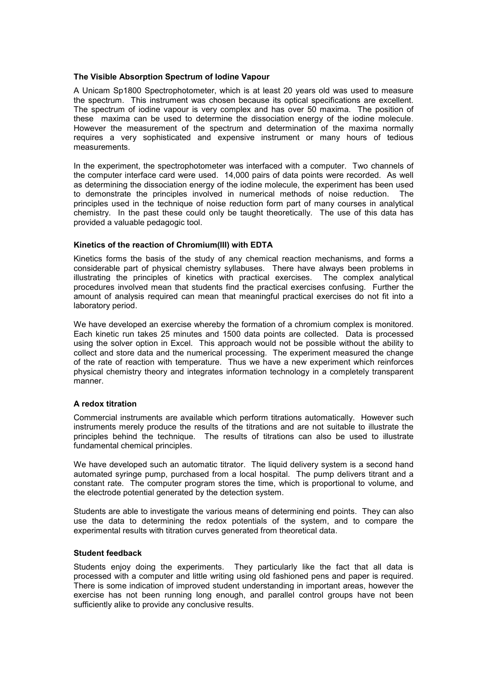# **The Visible Absorption Spectrum of Iodine Vapour**

A Unicam Sp1800 Spectrophotometer, which is at least 20 years old was used to measure the spectrum. This instrument was chosen because its optical specifications are excellent. The spectrum of iodine vapour is very complex and has over 50 maxima. The position of these maxima can be used to determine the dissociation energy of the iodine molecule. However the measurement of the spectrum and determination of the maxima normally requires a very sophisticated and expensive instrument or many hours of tedious measurements.

In the experiment, the spectrophotometer was interfaced with a computer. Two channels of the computer interface card were used. 14,000 pairs of data points were recorded. As well as determining the dissociation energy of the iodine molecule, the experiment has been used to demonstrate the principles involved in numerical methods of noise reduction. The principles used in the technique of noise reduction form part of many courses in analytical chemistry. In the past these could only be taught theoretically. The use of this data has provided a valuable pedagogic tool.

# **Kinetics of the reaction of Chromium(III) with EDTA**

Kinetics forms the basis of the study of any chemical reaction mechanisms, and forms a considerable part of physical chemistry syllabuses. There have always been problems in illustrating the principles of kinetics with practical exercises. The complex analytical procedures involved mean that students find the practical exercises confusing. Further the amount of analysis required can mean that meaningful practical exercises do not fit into a laboratory period.

We have developed an exercise whereby the formation of a chromium complex is monitored. Each kinetic run takes 25 minutes and 1500 data points are collected. Data is processed using the solver option in Excel. This approach would not be possible without the ability to collect and store data and the numerical processing. The experiment measured the change of the rate of reaction with temperature. Thus we have a new experiment which reinforces physical chemistry theory and integrates information technology in a completely transparent manner.

## **A redox titration**

Commercial instruments are available which perform titrations automatically. However such instruments merely produce the results of the titrations and are not suitable to illustrate the principles behind the technique. The results of titrations can also be used to illustrate fundamental chemical principles.

We have developed such an automatic titrator. The liquid delivery system is a second hand automated syringe pump, purchased from a local hospital. The pump delivers titrant and a constant rate. The computer program stores the time, which is proportional to volume, and the electrode potential generated by the detection system.

Students are able to investigate the various means of determining end points. They can also use the data to determining the redox potentials of the system, and to compare the experimental results with titration curves generated from theoretical data.

## **Student feedback**

Students enjoy doing the experiments. They particularly like the fact that all data is processed with a computer and little writing using old fashioned pens and paper is required. There is some indication of improved student understanding in important areas, however the exercise has not been running long enough, and parallel control groups have not been sufficiently alike to provide any conclusive results.